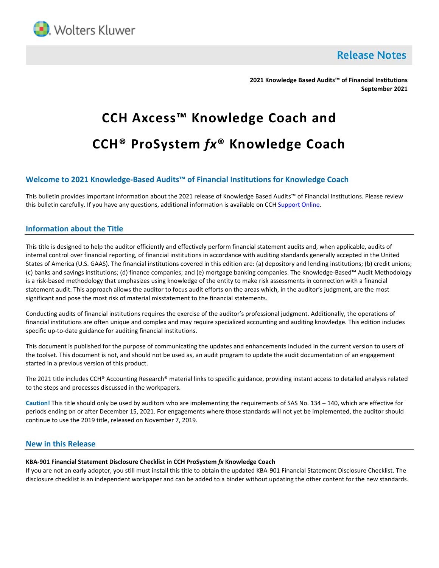

**Release Notes** 

**2021 Knowledge Based Audits™ of Financial Institutions September 2021**

# **CCH Axcess™ Knowledge Coach and CCH® ProSystem** *fx***® Knowledge Coach**

# **Welcome to 2021 Knowledge-Based Audits™ of Financial Institutions for Knowledge Coach**

This bulletin provides important information about the 2021 release of Knowledge Based Audits™ of Financial Institutions. Please review this bulletin carefully. If you have any questions, additional information is available on CCH [Support Online.](http://support.cch.com/productsupport/)

## **Information about the Title**

This title is designed to help the auditor efficiently and effectively perform financial statement audits and, when applicable, audits of internal control over financial reporting, of financial institutions in accordance with auditing standards generally accepted in the United States of America (U.S. GAAS). The financial institutions covered in this edition are: (a) depository and lending institutions; (b) credit unions; (c) banks and savings institutions; (d) finance companies; and (e) mortgage banking companies. The Knowledge-Based™ Audit Methodology is a risk-based methodology that emphasizes using knowledge of the entity to make risk assessments in connection with a financial statement audit. This approach allows the auditor to focus audit efforts on the areas which, in the auditor's judgment, are the most significant and pose the most risk of material misstatement to the financial statements.

Conducting audits of financial institutions requires the exercise of the auditor's professional judgment. Additionally, the operations of financial institutions are often unique and complex and may require specialized accounting and auditing knowledge. This edition includes specific up-to-date guidance for auditing financial institutions.

This document is published for the purpose of communicating the updates and enhancements included in the current version to users of the toolset. This document is not, and should not be used as, an audit program to update the audit documentation of an engagement started in a previous version of this product.

The 2021 title includes CCH® Accounting Research® material links to specific guidance, providing instant access to detailed analysis related to the steps and processes discussed in the workpapers.

**Caution!** This title should only be used by auditors who are implementing the requirements of SAS No. 134 – 140, which are effective for periods ending on or after December 15, 2021. For engagements where those standards will not yet be implemented, the auditor should continue to use the 2019 title, released on November 7, 2019.

## **New in this Release**

### **KBA-901 Financial Statement Disclosure Checklist in CCH ProSystem** *fx* **Knowledge Coach**

If you are not an early adopter, you still must install this title to obtain the updated KBA-901 Financial Statement Disclosure Checklist. The disclosure checklist is an independent workpaper and can be added to a binder without updating the other content for the new standards.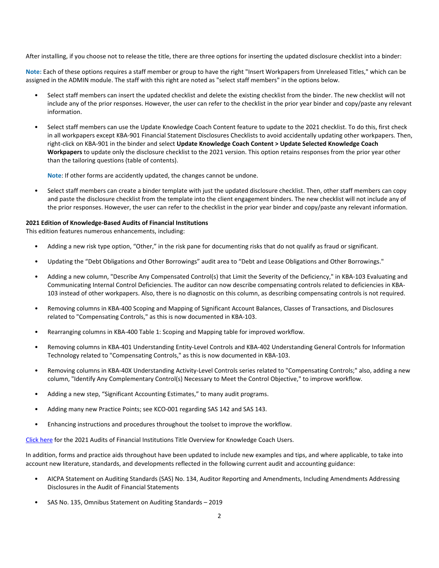After installing, if you choose not to release the title, there are three options for inserting the updated disclosure checklist into a binder:

**Note:** Each of these options requires a staff member or group to have the right "Insert Workpapers from Unreleased Titles," which can be assigned in the ADMIN module. The staff with this right are noted as "select staff members" in the options below.

- Select staff members can insert the updated checklist and delete the existing checklist from the binder. The new checklist will not include any of the prior responses. However, the user can refer to the checklist in the prior year binder and copy/paste any relevant information.
- Select staff members can use the Update Knowledge Coach Content feature to update to the 2021 checklist. To do this, first check in all workpapers except KBA-901 Financial Statement Disclosures Checklists to avoid accidentally updating other workpapers. Then, right-click on KBA-901 in the binder and select **Update Knowledge Coach Content > Update Selected Knowledge Coach Workpapers** to update only the disclosure checklist to the 2021 version. This option retains responses from the prior year other than the tailoring questions (table of contents).

**Note**: If other forms are accidently updated, the changes cannot be undone.

• Select staff members can create a binder template with just the updated disclosure checklist. Then, other staff members can copy and paste the disclosure checklist from the template into the client engagement binders. The new checklist will not include any of the prior responses. However, the user can refer to the checklist in the prior year binder and copy/paste any relevant information.

#### **2021 Edition of Knowledge-Based Audits of Financial Institutions**

This edition features numerous enhancements, including:

- Adding a new risk type option, "Other," in the risk pane for documenting risks that do not qualify as fraud or significant.
- Updating the "Debt Obligations and Other Borrowings" audit area to "Debt and Lease Obligations and Other Borrowings."
- Adding a new column, "Describe Any Compensated Control(s) that Limit the Severity of the Deficiency," in KBA-103 Evaluating and Communicating Internal Control Deficiencies. The auditor can now describe compensating controls related to deficiencies in KBA-103 instead of other workpapers. Also, there is no diagnostic on this column, as describing compensating controls is not required.
- Removing columns in KBA-400 Scoping and Mapping of Significant Account Balances, Classes of Transactions, and Disclosures related to "Compensating Controls," as this is now documented in KBA-103.
- Rearranging columns in KBA-400 Table 1: Scoping and Mapping table for improved workflow.
- Removing columns in KBA-401 Understanding Entity-Level Controls and KBA-402 Understanding General Controls for Information Technology related to "Compensating Controls," as this is now documented in KBA-103.
- Removing columns in KBA-40X Understanding Activity-Level Controls series related to "Compensating Controls;" also, adding a new column, "Identify Any Complementary Control(s) Necessary to Meet the Control Objective," to improve workflow.
- Adding a new step, "Significant Accounting Estimates," to many audit programs.
- Adding many new Practice Points; see KCO-001 regarding SAS 142 and SAS 143.
- Enhancing instructions and procedures throughout the toolset to improve the workflow.

[Click here](http://support.cch.com/updates/KnowledgeCoach/pdf/guides_tab/2021%20Financial%20Institutions%20Title%20Overview%20for%20Knowledge%20Coach%20Users.pdf) for the 2021 Audits of Financial Institutions Title Overview for Knowledge Coach Users.

In addition, forms and practice aids throughout have been updated to include new examples and tips, and where applicable, to take into account new literature, standards, and developments reflected in the following current audit and accounting guidance:

- AICPA Statement on Auditing Standards (SAS) No. 134, Auditor Reporting and Amendments, Including Amendments Addressing Disclosures in the Audit of Financial Statements
- SAS No. 135, Omnibus Statement on Auditing Standards 2019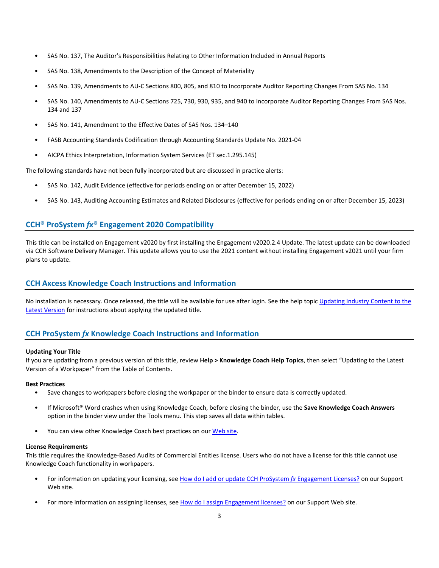- SAS No. 137, The Auditor's Responsibilities Relating to Other Information Included in Annual Reports
- SAS No. 138, Amendments to the Description of the Concept of Materiality
- SAS No. 139, Amendments to AU-C Sections 800, 805, and 810 to Incorporate Auditor Reporting Changes From SAS No. 134
- SAS No. 140, Amendments to AU-C Sections 725, 730, 930, 935, and 940 to Incorporate Auditor Reporting Changes From SAS Nos. 134 and 137
- SAS No. 141, Amendment to the Effective Dates of SAS Nos. 134–140
- FASB Accounting Standards Codification through Accounting Standards Update No. 2021-04
- AICPA Ethics Interpretation, Information System Services (ET sec.1.295.145)

The following standards have not been fully incorporated but are discussed in practice alerts:

- SAS No. 142, Audit Evidence (effective for periods ending on or after December 15, 2022)
- SAS No. 143, Auditing Accounting Estimates and Related Disclosures (effective for periods ending on or after December 15, 2023)

# **CCH® ProSystem** *fx***® Engagement 2020 Compatibility**

This title can be installed on Engagement v2020 by first installing the Engagement v2020.2.4 Update. The latest update can be downloaded via CCH Software Delivery Manager. This update allows you to use the 2021 content without installing Engagement v2021 until your firm plans to update.

## **CCH Axcess Knowledge Coach Instructions and Information**

No installation is necessary. Once released, the title will be available for use after login. See the help topi[c Updating Industry Content to the](https://knowledgecoach.cchaxcess.com/Knowledge-Coach/Content/Engagements/Eng-Update-content.htm)  [Latest Version](https://knowledgecoach.cchaxcess.com/Knowledge-Coach/Content/Engagements/Eng-Update-content.htm) for instructions about applying the updated title.

# **CCH ProSystem** *fx* **Knowledge Coach Instructions and Information**

#### **Updating Your Title**

If you are updating from a previous version of this title, review **Help > Knowledge Coach Help Topics**, then select "Updating to the Latest Version of a Workpaper" from the Table of Contents.

#### **Best Practices**

- Save changes to workpapers before closing the workpaper or the binder to ensure data is correctly updated.
- If Microsoft® Word crashes when using Knowledge Coach, before closing the binder, use the **Save Knowledge Coach Answers** option in the binder view under the Tools menu. This step saves all data within tables.
- You can view other Knowledge Coach best practices on ou[r Web](https://support.cch.com/kb/solution/000034942/sw34947) site.

#### **License Requirements**

This title requires the Knowledge-Based Audits of Commercial Entities license. Users who do not have a license for this title cannot use Knowledge Coach functionality in workpapers.

- For information on updating your licensing, see [How do I add or update CCH ProSystem](https://support.cch.com/kb/solution.aspx/sw3937) *fx* Engagement Licenses? on our Support Web site.
- For more information on assigning licenses, see [How do I assign Engagement licenses?](https://support.cch.com/kb/solution.aspx/sw3943) on our Support Web site.